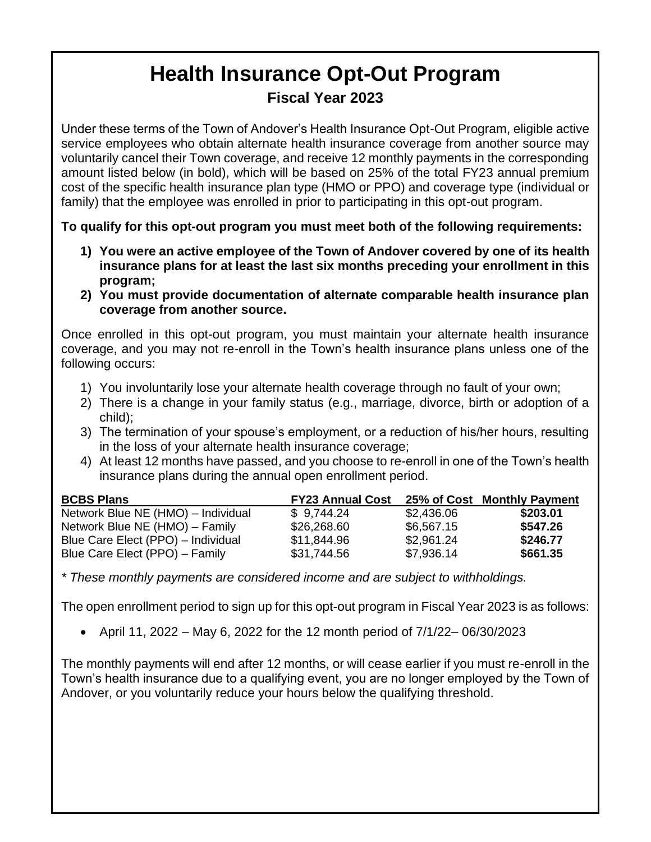## **Health Insurance Opt-Out Program Fiscal Year 2023**

Under these terms of the Town of Andover's Health Insurance Opt-Out Program, eligible active service employees who obtain alternate health insurance coverage from another source may voluntarily cancel their Town coverage, and receive 12 monthly payments in the corresponding amount listed below (in bold), which will be based on 25% of the total FY23 annual premium cost of the specific health insurance plan type (HMO or PPO) and coverage type (individual or family) that the employee was enrolled in prior to participating in this opt-out program.

**To qualify for this opt-out program you must meet both of the following requirements:**

- **1) You were an active employee of the Town of Andover covered by one of its health insurance plans for at least the last six months preceding your enrollment in this program;**
- **2) You must provide documentation of alternate comparable health insurance plan coverage from another source.**

Once enrolled in this opt-out program, you must maintain your alternate health insurance coverage, and you may not re-enroll in the Town's health insurance plans unless one of the following occurs:

- 1) You involuntarily lose your alternate health coverage through no fault of your own;
- 2) There is a change in your family status (e.g., marriage, divorce, birth or adoption of a child);
- 3) The termination of your spouse's employment, or a reduction of his/her hours, resulting in the loss of your alternate health insurance coverage;
- 4) At least 12 months have passed, and you choose to re-enroll in one of the Town's health insurance plans during the annual open enrollment period.

| <b>BCBS Plans</b>                  | <b>FY23 Annual Cost</b> |            | 25% of Cost Monthly Payment |
|------------------------------------|-------------------------|------------|-----------------------------|
| Network Blue NE (HMO) - Individual | \$9,744.24              | \$2,436.06 | \$203.01                    |
| Network Blue NE (HMO) – Family     | \$26,268.60             | \$6,567.15 | \$547.26                    |
| Blue Care Elect (PPO) - Individual | \$11,844.96             | \$2,961.24 | \$246.77                    |
| Blue Care Elect (PPO) – Family     | \$31,744.56             | \$7,936.14 | \$661.35                    |

*\* These monthly payments are considered income and are subject to withholdings.* 

The open enrollment period to sign up for this opt-out program in Fiscal Year 2023 is as follows:

• April 11, 2022 – May 6, 2022 for the 12 month period of  $7/1/22 - 06/30/2023$ 

The monthly payments will end after 12 months, or will cease earlier if you must re-enroll in the Town's health insurance due to a qualifying event, you are no longer employed by the Town of Andover, or you voluntarily reduce your hours below the qualifying threshold.